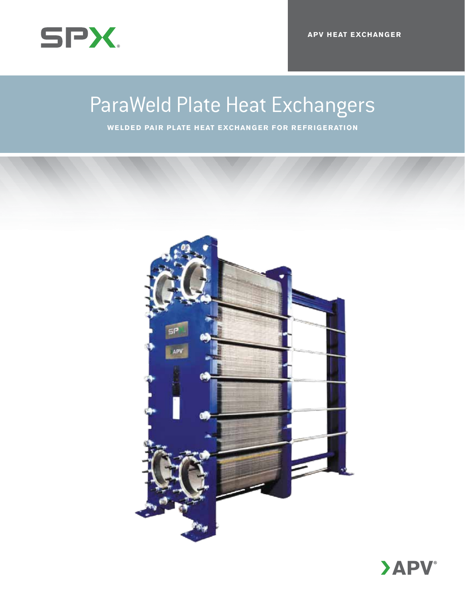

### Product Name / Title ParaWeld Plate Heat Exchangers

Subtitel / **C=20 M=0 Y=0 K=28 Welded Pair Plate Heat Exchanger for R efrigeration**

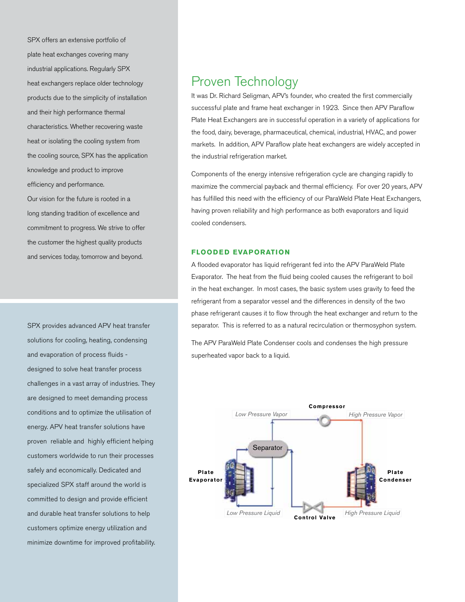SPX offers an extensive portfolio of plate heat exchanges covering many industrial applications. Regularly SPX heat exchangers replace older technology products due to the simplicity of installation and their high performance thermal characteristics. Whether recovering waste heat or isolating the cooling system from the cooling source, SPX has the application knowledge and product to improve efficiency and performance.

Our vision for the future is rooted in a long standing tradition of excellence and commitment to progress. We strive to offer the customer the highest quality products and services today, tomorrow and beyond.

SPX provides advanced APV heat transfer solutions for cooling, heating, condensing and evaporation of process fluids designed to solve heat transfer process challenges in a vast array of industries. They are designed to meet demanding process conditions and to optimize the utilisation of energy. APV heat transfer solutions have proven reliable and highly efficient helping customers worldwide to run their processes safely and economically. Dedicated and specialized SPX staff around the world is committed to design and provide efficient and durable heat transfer solutions to help customers optimize energy utilization and minimize downtime for improved profitability.

## Proven Technology

It was Dr. Richard Seligman, APV's founder, who created the first commercially successful plate and frame heat exchanger in 1923. Since then APV Paraflow Plate Heat Exchangers are in successful operation in a variety of applications for the food, dairy, beverage, pharmaceutical, chemical, industrial, HVAC, and power markets. In addition, APV Paraflow plate heat exchangers are widely accepted in the industrial refrigeration market.

Components of the energy intensive refrigeration cycle are changing rapidly to maximize the commercial payback and thermal efficiency. For over 20 years, APV has fulfilled this need with the efficiency of our ParaWeld Plate Heat Exchangers, having proven reliability and high performance as both evaporators and liquid cooled condensers.

#### **Flooded Evaporation**

A flooded evaporator has liquid refrigerant fed into the APV ParaWeld Plate Evaporator. The heat from the fluid being cooled causes the refrigerant to boil in the heat exchanger. In most cases, the basic system uses gravity to feed the refrigerant from a separator vessel and the differences in density of the two phase refrigerant causes it to flow through the heat exchanger and return to the separator. This is referred to as a natural recirculation or thermosyphon system.

The APV ParaWeld Plate Condenser cools and condenses the high pressure superheated vapor back to a liquid.

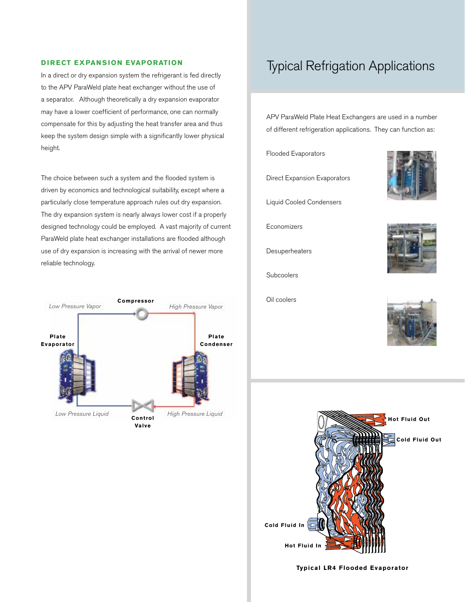#### **DIRECT EXPANSION EVAPORATION**

In a direct or dry expansion system the refrigerant is fed directly to the APV ParaWeld plate heat exchanger without the use of a separator. Although theoretically a dry expansion evaporator may have a lower coefficient of performance, one can normally compensate for this by adjusting the heat transfer area and thus keep the system design simple with a significantly lower physical height.

The choice between such a system and the flooded system is driven by economics and technological suitability, except where a particularly close temperature approach rules out dry expansion. The dry expansion system is nearly always lower cost if a properly designed technology could be employed. A vast majority of current ParaWeld plate heat exchanger installations are flooded although use of dry expansion is increasing with the arrival of newer more reliable technology.



## Typical Refrigation Applications

APV ParaWeld Plate Heat Exchangers are used in a number of different refrigeration applications. They can function as:

Flooded Evaporators

Direct Expansion Evaporators

Liquid Cooled Condensers

Economizers

**Desuperheaters** 

Subcoolers

Oil coolers









**Typical LR4 Flooded Evaporator**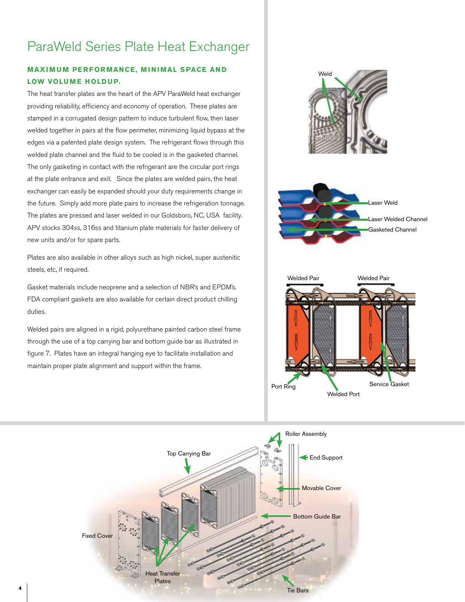# ParaWeld Series Plate Heat Exchanger

#### **MAXIMUM PERFORMANCE, MINIMAL SPACE AND LOW VOLUME HOLDUP.**

The heat transfer plates are the heart of the APV ParaWeld heat exchanger providing reliability, efficiency and economy of operation. These plates are stamped in a corrugated design pattern to induce turbulent flow, then laser welded together in pairs at the flow perimeter, minimizing liquid bypass at the edges via a patented plate design system. The refrigerant flows through this welded plate channel and the fluid to be cooled is in the gasketed channel. The only gasketing in contact with the refrigerant are the circular port rings at the plate entrance and exit. Since the plates are welded pairs, the heat exchanger can easily be expanded should your duty requirements change in the future. Simply add more plate pairs to increase the refrigeration tonnage. The plates are pressed and laser welded in our Goldsboro, NC, USA facility. APV stocks 304ss, 316ss and titanium plate materials for faster delivery of new units and/or for spare parts.

Plates are also available in other alloys such as high nickel, super austenitic steels, etc, if required.

Gasket materials include neoprene and a selection of NBR's and EPDM's. FDA compliant gaskets are also available for certain direct product chilling duties.

Welded pairs are aligned in a rigid, polyurethane painted carbon steel frame through the use of a top carrying bar and bottom guide bar as illustrated in figure 7. Plates have an integral hanging eye to facilitate installation and maintain proper plate alignment and support within the frame.



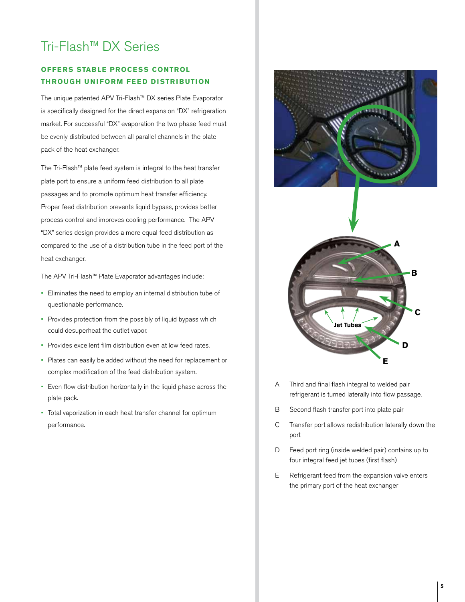# Tri-Flash™ DX Series

#### **OFFERS STABLE PROCESS CONTROL th roug h U niform Feed D istribution**

The unique patented APV Tri-Flash™ DX series Plate Evaporator is specifically designed for the direct expansion "DX" refrigeration market. For successful "DX" evaporation the two phase feed must be evenly distributed between all parallel channels in the plate pack of the heat exchanger.

The Tri-Flash™ plate feed system is integral to the heat transfer plate port to ensure a uniform feed distribution to all plate passages and to promote optimum heat transfer efficiency. Proper feed distribution prevents liquid bypass, provides better process control and improves cooling performance. The APV "DX" series design provides a more equal feed distribution as compared to the use of a distribution tube in the feed port of the heat exchanger.

The APV Tri-Flash™ Plate Evaporator advantages include:

- • Eliminates the need to employ an internal distribution tube of questionable performance.
- Provides protection from the possibly of liquid bypass which could desuperheat the outlet vapor.
- • Provides excellent film distribution even at low feed rates.
- • Plates can easily be added without the need for replacement or complex modification of the feed distribution system.
- • Even flow distribution horizontally in the liquid phase across the plate pack.
- Total vaporization in each heat transfer channel for optimum performance.



- A Third and final flash integral to welded pair refrigerant is turned laterally into flow passage.
- B Second flash transfer port into plate pair
- C Transfer port allows redistribution laterally down the port
- D Feed port ring (inside welded pair) contains up to four integral feed jet tubes (first flash)
- E Refrigerant feed from the expansion valve enters the primary port of the heat exchanger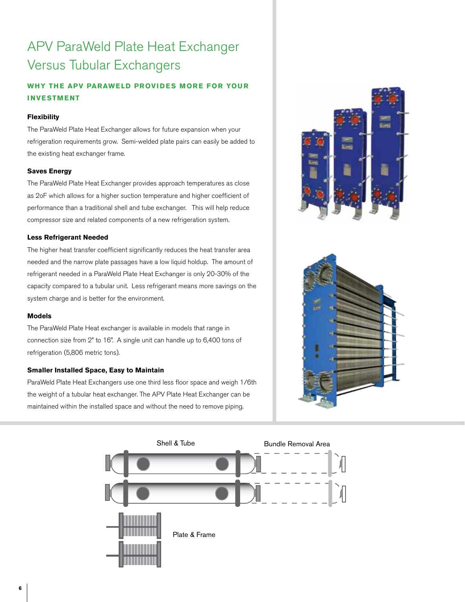# APV ParaWeld Plate Heat Exchanger Versus Tubular Exchangers

#### WHY THE APV PARAWELD PROVIDES MORE FOR YOUR **investment**

#### **Flexibility**

The ParaWeld Plate Heat Exchanger allows for future expansion when your refrigeration requirements grow. Semi-welded plate pairs can easily be added to the existing heat exchanger frame.

#### **Saves Energy**

The ParaWeld Plate Heat Exchanger provides approach temperatures as close as 2oF which allows for a higher suction temperature and higher coefficient of performance than a traditional shell and tube exchanger. This will help reduce compressor size and related components of a new refrigeration system.

#### **Less Refrigerant Needed**

The higher heat transfer coefficient significantly reduces the heat transfer area needed and the narrow plate passages have a low liquid holdup. The amount of refrigerant needed in a ParaWeld Plate Heat Exchanger is only 20-30% of the capacity compared to a tubular unit. Less refrigerant means more savings on the system charge and is better for the environment.

#### **Models**

The ParaWeld Plate Heat exchanger is available in models that range in connection size from 2" to 16". A single unit can handle up to 6,400 tons of refrigeration (5,806 metric tons).

#### **Smaller Installed Space, Easy to Maintain**

ParaWeld Plate Heat Exchangers use one third less floor space and weigh 1/6th the weight of a tubular heat exchanger. The APV Plate Heat Exchanger can be maintained within the installed space and without the need to remove piping.





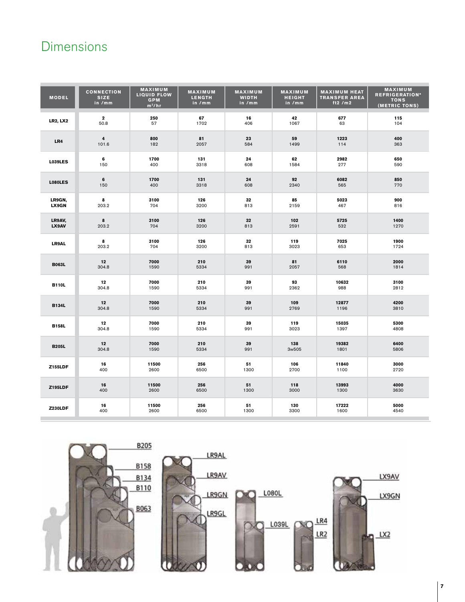# **Dimensions**

| <b>MODEL</b>    | <b>CONNECTION</b><br><b>SIZE</b><br>in /mm | <b>MAXIMUM</b><br><b>LIQUID FLOW</b><br><b>GPM</b><br>$m^3/hr$ | MAXIMUM<br><b>LENGTH</b><br>in /mm | MAXIMUM<br><b>WIDTH</b><br>in /mm | MAXIMUM<br><b>HEIGHT</b><br>in /mm | <b>MAXIMUM HEAT</b><br><b>TRANSFER AREA</b><br>ft $2/m2$ | MAXIMUM<br><b>REFRIGERATION*</b><br><b>TONS</b><br>(METRIC TONS) |
|-----------------|--------------------------------------------|----------------------------------------------------------------|------------------------------------|-----------------------------------|------------------------------------|----------------------------------------------------------|------------------------------------------------------------------|
| <b>LR2, LX2</b> | $\mathbf{2}$                               | 250                                                            | 67                                 | 16                                | 42                                 | 677                                                      | 115                                                              |
|                 | 50.8                                       | 57                                                             | 1702                               | 406                               | 1067                               | 63                                                       | 104                                                              |
| LR4             | $\overline{\mathbf{4}}$                    | 800                                                            | 81                                 | 23                                | 59                                 | 1223                                                     | 400                                                              |
|                 | 101.6                                      | 182                                                            | 2057                               | 584                               | 1499                               | 114                                                      | 363                                                              |
| <b>L039LES</b>  | 6                                          | 1700                                                           | 131                                | 24                                | 62                                 | 2982                                                     | 650                                                              |
|                 | 150                                        | 400                                                            | 3318                               | 608                               | 1584                               | 277                                                      | 590                                                              |
| <b>L080LES</b>  | 6                                          | 1700                                                           | 131                                | 24                                | 92                                 | 6082                                                     | 850                                                              |
|                 | 150                                        | 400                                                            | 3318                               | 608                               | 2340                               | 565                                                      | 770                                                              |
| LR9GN,          | 8                                          | 3100                                                           | 126                                | 32                                | 85                                 | 5023                                                     | 900                                                              |
| LX9GN           | 203.2                                      | 704                                                            | 3200                               | 813                               | 2159                               | 467                                                      | 816                                                              |
| LR9AV,          | 8                                          | 3100                                                           | 126                                | 32                                | 102                                | 5725                                                     | 1400                                                             |
| LX9AV           | 203.2                                      | 704                                                            | 3200                               | 813                               | 2591                               | 532                                                      | 1270                                                             |
| LR9AL           | 8                                          | 3100                                                           | 126                                | 32                                | 119                                | 7025                                                     | 1900                                                             |
|                 | 203.2                                      | 704                                                            | 3200                               | 813                               | 3023                               | 653                                                      | 1724                                                             |
| <b>B063L</b>    | 12                                         | 7000                                                           | 210                                | 39                                | 81                                 | 6110                                                     | 2000                                                             |
|                 | 304.8                                      | 1590                                                           | 5334                               | 991                               | 2057                               | 568                                                      | 1814                                                             |
| <b>B110L</b>    | 12                                         | 7000                                                           | 210                                | 39                                | 93                                 | 10632                                                    | 3100                                                             |
|                 | 304.8                                      | 1590                                                           | 5334                               | 991                               | 2362                               | 988                                                      | 2812                                                             |
| <b>B134L</b>    | 12                                         | 7000                                                           | 210                                | 39                                | 109                                | 12877                                                    | 4200                                                             |
|                 | 304.8                                      | 1590                                                           | 5334                               | 991                               | 2769                               | 1196                                                     | 3810                                                             |
| <b>B158L</b>    | 12                                         | 7000                                                           | 210                                | 39                                | 119                                | 15035                                                    | 5300                                                             |
|                 | 304.8                                      | 1590                                                           | 5334                               | 991                               | 3023                               | 1397                                                     | 4808                                                             |
| <b>B205L</b>    | 12                                         | 7000                                                           | 210                                | 39                                | 138                                | 19382                                                    | 6400                                                             |
|                 | 304.8                                      | 1590                                                           | 5334                               | 991                               | 3w505                              | 1801                                                     | 5806                                                             |
| <b>Z155LDF</b>  | 16                                         | 11500                                                          | 256                                | 51                                | 106                                | 11840                                                    | 3000                                                             |
|                 | 400                                        | 2600                                                           | 6500                               | 1300                              | 2700                               | 1100                                                     | 2720                                                             |
| <b>Z195LDF</b>  | 16                                         | 11500                                                          | 256                                | 51                                | 118                                | 13993                                                    | 4000                                                             |
|                 | 400                                        | 2600                                                           | 6500                               | 1300                              | 3000                               | 1300                                                     | 3630                                                             |
| <b>Z230LDF</b>  | 16                                         | 11500                                                          | 256                                | 51                                | 130                                | 17222                                                    | 5000                                                             |
|                 | 400                                        | 2600                                                           | 6500                               | 1300                              | 3300                               | 1600                                                     | 4540                                                             |